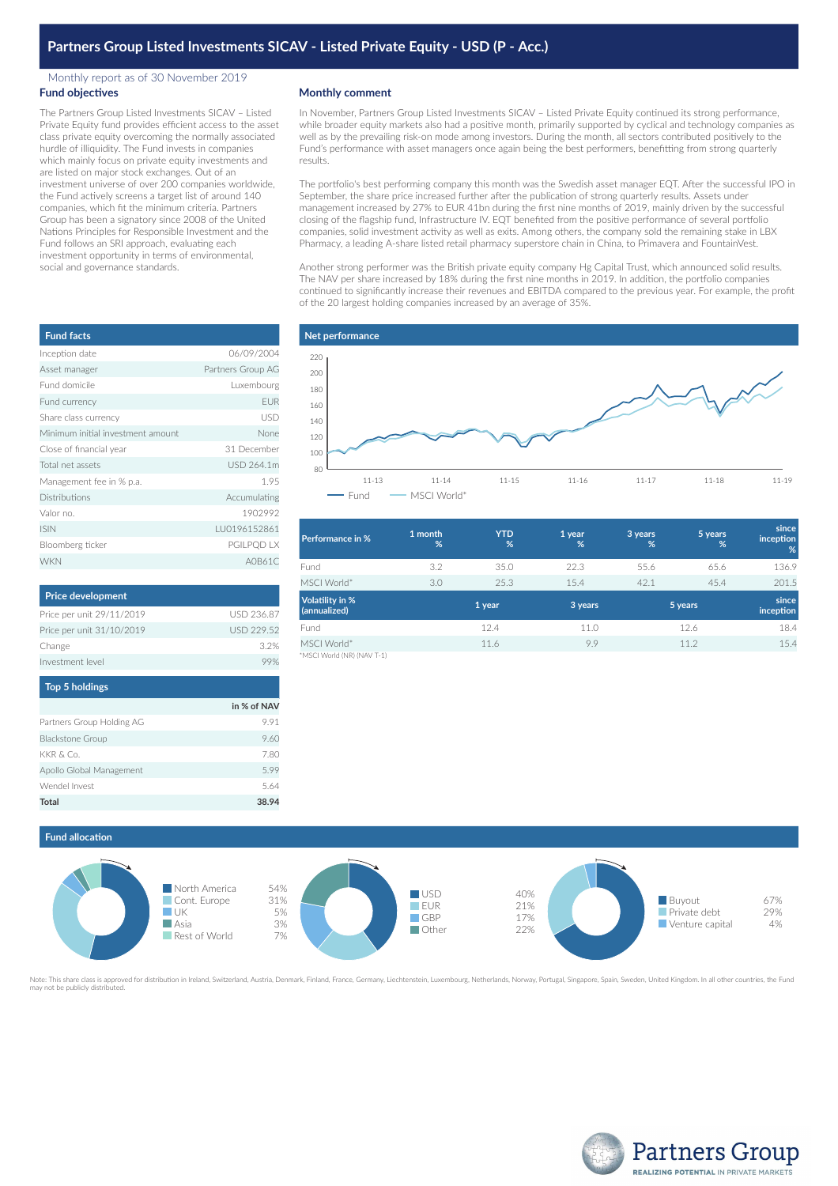## Monthly report as of 30 November 2019 **Fund objectives**

The Partners Group Listed Investments SICAV – Listed Private Equity fund provides efficient access to the asset class private equity overcoming the normally associated hurdle of illiquidity. The Fund invests in companies which mainly focus on private equity investments and are listed on major stock exchanges. Out of an investment universe of over 200 companies worldwide, the Fund actively screens a target list of around 140 companies, which fit the minimum criteria. Partners Group has been a signatory since 2008 of the United Nations Principles for Responsible Investment and the Fund follows an SRI approach, evaluating each investment opportunity in terms of environmental, social and governance standards.

| <b>Fund facts</b>                 |                   |
|-----------------------------------|-------------------|
| Inception date                    | 06/09/2004        |
| Asset manager                     | Partners Group AG |
| Fund domicile                     | Luxembourg        |
| Fund currency                     | <b>EUR</b>        |
| Share class currency              | USD               |
| Minimum initial investment amount | None              |
| Close of financial year           | 31 December       |
| Total net assets                  | USD 264.1m        |
| Management fee in % p.a.          | 1.95              |
| <b>Distributions</b>              | Accumulating      |
| Valor no.                         | 1902992           |
| <b>ISIN</b>                       | LU0196152861      |
| Bloomberg ticker                  | PGILPQD LX        |
| <b>WKN</b>                        | A0B61C            |

| <b>Price development</b>  |                   |
|---------------------------|-------------------|
| Price per unit 29/11/2019 | <b>USD 236.87</b> |
| Price per unit 31/10/2019 | USD 229.52        |
| Change                    | 32%               |
| Investment level          |                   |

| <b>Top 5 holdings</b>     |             |
|---------------------------|-------------|
|                           | in % of NAV |
| Partners Group Holding AG | 9.91        |
| <b>Blackstone Group</b>   | 9.60        |
| KKR & Co.                 | 7.80        |
| Apollo Global Management  | 599         |
| Wendel Invest             | 5.64        |
| Total                     | 38.94       |

## **Monthly comment**

In November, Partners Group Listed Investments SICAV – Listed Private Equity continued its strong performance, while broader equity markets also had a positive month, primarily supported by cyclical and technology companies as well as by the prevailing risk-on mode among investors. During the month, all sectors contributed positively to the Fund's performance with asset managers once again being the best performers, benefitting from strong quarterly results.

The portfolio's best performing company this month was the Swedish asset manager EQT. After the successful IPO in September, the share price increased further after the publication of strong quarterly results. Assets under management increased by 27% to EUR 41bn during the first nine months of 2019, mainly driven by the successful closing of the flagship fund, Infrastructure IV. EQT benefited from the positive performance of several portfolio companies, solid investment activity as well as exits. Among others, the company sold the remaining stake in LBX Pharmacy, a leading A-share listed retail pharmacy superstore chain in China, to Primavera and FountainVest.

Another strong performer was the British private equity company Hg Capital Trust, which announced solid results. The NAV per share increased by 18% during the first nine months in 2019. In addition, the portfolio companies continued to significantly increase their revenues and EBITDA compared to the previous year. For example, the profit of the 20 largest holding companies increased by an average of 35%.



| <b>Performance in %</b>                   | 1 month<br>% | <b>YTD</b><br>% | 1 year<br>% | 3 years<br>% | 5 years<br>% | since<br>inception<br>% |
|-------------------------------------------|--------------|-----------------|-------------|--------------|--------------|-------------------------|
| Fund                                      | 3.2          | 35.0            | 22.3        | 55.6         | 65.6         | 136.9                   |
| MSCI World*                               | 3.0          | 25.3            | 15.4        | 42.1         | 45.4         | 201.5                   |
| <b>Volatility in %</b><br>(annualized)    |              | 1 year          | 3 years     | 5 years      |              | since<br>inception      |
| Fund                                      |              | 12.4            | 11.0        |              | 12.6         | 18.4                    |
| MSCI World*<br>*MSCI World (NR) (NAV T-1) |              | 11.6            | 9.9         |              | 11.2         | 15.4                    |

**Fund allocation**



ed for distribution in Ireland, Switzerland, Austria, Denmark, Finland, France, Germany, Liechtenstein, Luxembourg, Netherlands, Norway, Portugal, Singapore, Spain, Sweden, United Kingdom. In all other countries, the Fund may not be publicly distributed.